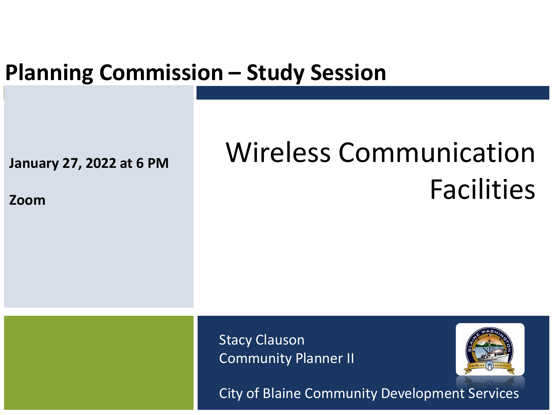#### **Planning Commission – Study Session**

**January 27, 2022 at 6 PM**

#### **Zoom**

# Wireless Communication Facilities

Stacy Clauson Community Planner II



City of Blaine Community Development Services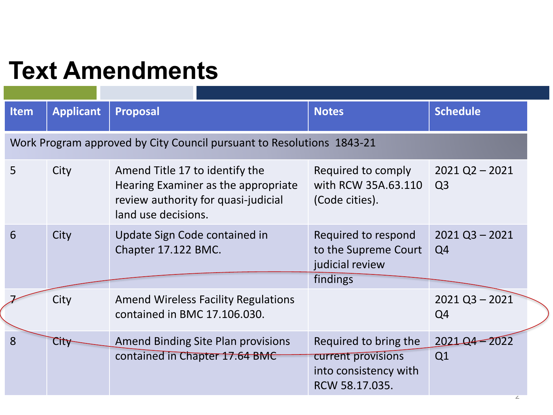### **Text Amendments**

| <b>Item</b>                                                           | <b>Applicant</b> | <b>Proposal</b>                                                                                                                     | <b>Notes</b>                                                                           | <b>Schedule</b>                    |  |
|-----------------------------------------------------------------------|------------------|-------------------------------------------------------------------------------------------------------------------------------------|----------------------------------------------------------------------------------------|------------------------------------|--|
| Work Program approved by City Council pursuant to Resolutions 1843-21 |                  |                                                                                                                                     |                                                                                        |                                    |  |
| 5                                                                     | City             | Amend Title 17 to identify the<br>Hearing Examiner as the appropriate<br>review authority for quasi-judicial<br>land use decisions. | Required to comply<br>with RCW 35A.63.110<br>(Code cities).                            | $2021$ Q2 - 2021<br>Q <sub>3</sub> |  |
| 6                                                                     | City             | Update Sign Code contained in<br>Chapter 17.122 BMC.                                                                                | Required to respond<br>to the Supreme Court<br>judicial review<br>findings             | $2021$ Q3 - 2021<br>Q <sub>4</sub> |  |
|                                                                       | City             | <b>Amend Wireless Facility Regulations</b><br>contained in BMC 17.106.030.                                                          |                                                                                        | $2021$ Q3 - $2021$<br>Q4           |  |
| 8                                                                     | City             | <b>Amend Binding Site Plan provisions</b><br>contained in Chapter 17.64 BMC                                                         | Required to bring the<br>current provisions<br>into consistency with<br>RCW 58.17.035. | 2021-04-2022<br>Q1                 |  |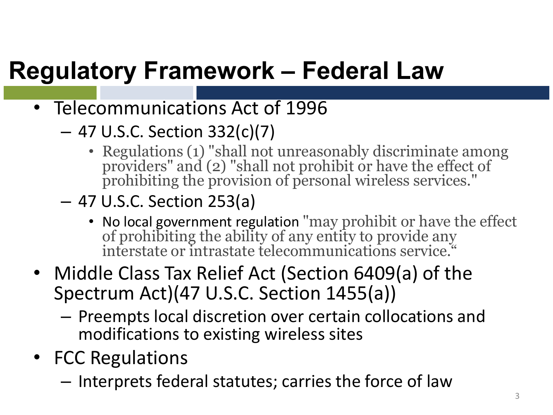## **Regulatory Framework – Federal Law**

- Telecommunications Act of 1996
	- 47 U.S.C. Section 332(c)(7)
		- Regulations (1) "shall not unreasonably discriminate among providers" and (2) "shall not prohibit or have the effect of prohibiting the provision of personal wireless services."
	- 47 U.S.C. Section 253(a)
		- No local government regulation "may prohibit or have the effect of prohibiting the ability of any entity to provide any interstate or intrastate telecommunications service."
- Middle Class Tax Relief Act (Section 6409(a) of the Spectrum Act)(47 U.S.C. Section 1455(a))
	- Preempts local discretion over certain collocations and modifications to existing wireless sites
- FCC Regulations
	- Interprets federal statutes; carries the force of law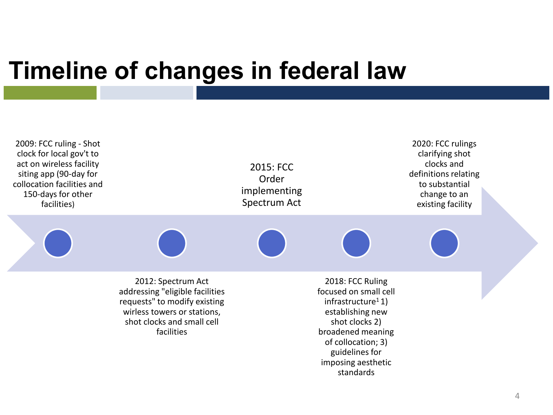#### **Timeline of changes in federal law**

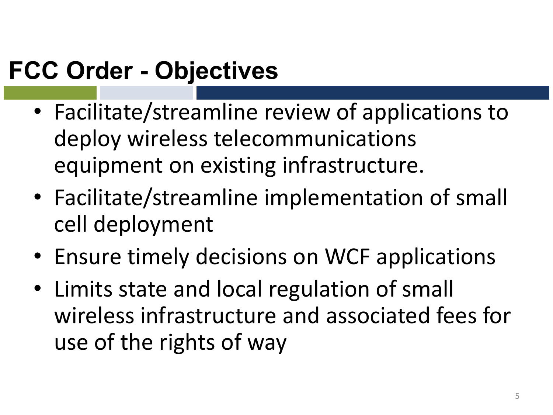### **FCC Order - Objectives**

- Facilitate/streamline review of applications to deploy wireless telecommunications equipment on existing infrastructure.
- Facilitate/streamline implementation of small cell deployment
- Ensure timely decisions on WCF applications
- Limits state and local regulation of small wireless infrastructure and associated fees for use of the rights of way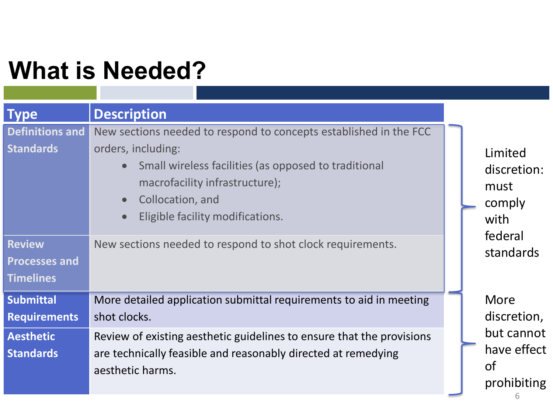## **What is Needed?**

| <b>Type</b>                                               | <b>Description</b>                                                                                                                                                                                                                                                               |  |                                                       |  |
|-----------------------------------------------------------|----------------------------------------------------------------------------------------------------------------------------------------------------------------------------------------------------------------------------------------------------------------------------------|--|-------------------------------------------------------|--|
| <b>Definitions and</b><br><b>Standards</b>                | New sections needed to respond to concepts established in the FCC<br>orders, including:<br>Small wireless facilities (as opposed to traditional<br>$\bullet$<br>macrofacility infrastructure);<br>Collocation, and<br>$\bullet$<br>Eligible facility modifications.<br>$\bullet$ |  | Limited<br>discretion:<br>must<br>comply<br>with      |  |
| <b>Review</b><br><b>Processes and</b><br><b>Timelines</b> | New sections needed to respond to shot clock requirements.                                                                                                                                                                                                                       |  | federal<br>standards                                  |  |
| <b>Submittal</b><br><b>Requirements</b>                   | More detailed application submittal requirements to aid in meeting<br>shot clocks.                                                                                                                                                                                               |  | More<br>discretion,                                   |  |
| <b>Aesthetic</b><br><b>Standards</b>                      | Review of existing aesthetic guidelines to ensure that the provisions<br>are technically feasible and reasonably directed at remedying<br>aesthetic harms.                                                                                                                       |  | but cannot<br>have effect<br><b>of</b><br>prohibiting |  |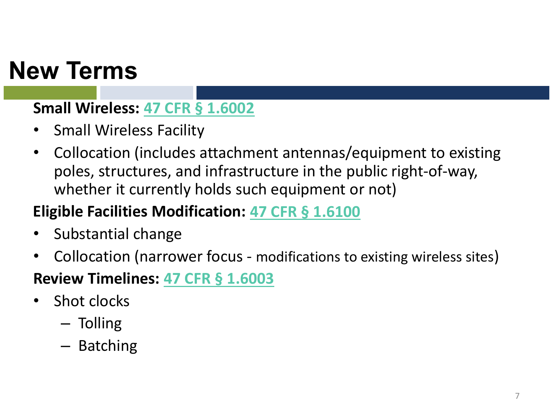### **New Terms**

#### **Small Wireless: [47 CFR §](https://www.ecfr.gov/current/title-47/chapter-I/subchapter-A/part-1/subpart-U/section-1.6002) 1.6002**

- Small Wireless Facility
- Collocation (includes attachment antennas/equipment to existing poles, structures, and infrastructure in the public right-of-way, whether it currently holds such equipment or not)

#### **Eligible Facilities Modification: [47 CFR §](https://www.ecfr.gov/current/title-47/chapter-I/subchapter-A/part-1/subpart-U/section-1.6100) 1.6100**

- Substantial change
- Collocation (narrower focus modifications to existing wireless sites)

#### **Review Timelines: [47 CFR §](https://www.ecfr.gov/current/title-47/chapter-I/subchapter-A/part-1/subpart-U/section-1.6003) 1.6003**

- Shot clocks
	- Tolling
	- Batching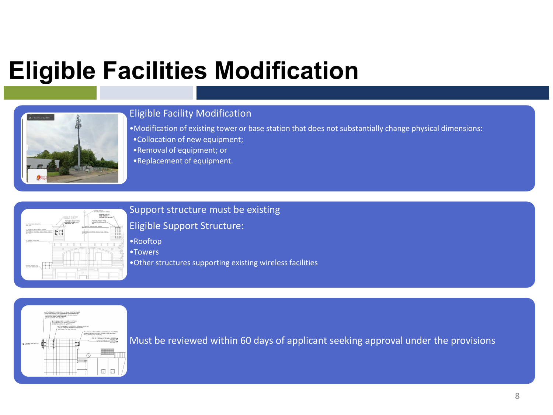## **Eligible Facilities Modification**



#### Eligible Facility Modification

•Modification of existing tower or base station that does not substantially change physical dimensions: •Collocation of new equipment; •Removal of equipment; or

•Replacement of equipment.



#### Support structure must be existing

#### Eligible Support Structure:

•Rooftop

•Towers

•Other structures supporting existing wireless facilities



Must be reviewed within 60 days of applicant seeking approval under the provisions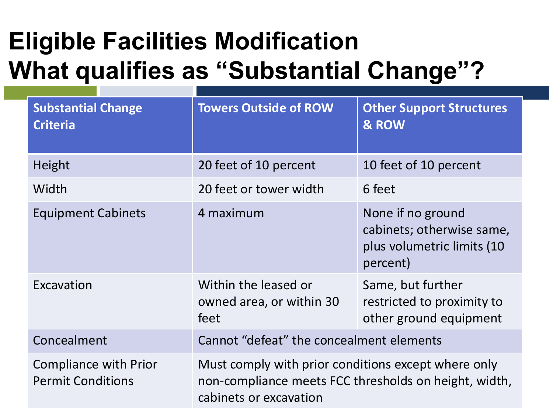## **Eligible Facilities Modification What qualifies as "Substantial Change"?**

| <b>Substantial Change</b><br><b>Criteria</b>             | <b>Towers Outside of ROW</b>                                                                                                           | <b>Other Support Structures</b><br>& ROW                                                 |  |
|----------------------------------------------------------|----------------------------------------------------------------------------------------------------------------------------------------|------------------------------------------------------------------------------------------|--|
| Height                                                   | 20 feet of 10 percent                                                                                                                  | 10 feet of 10 percent                                                                    |  |
| Width                                                    | 20 feet or tower width                                                                                                                 | 6 feet                                                                                   |  |
| <b>Equipment Cabinets</b>                                | 4 maximum                                                                                                                              | None if no ground<br>cabinets; otherwise same,<br>plus volumetric limits (10<br>percent) |  |
| Excavation                                               | Within the leased or<br>owned area, or within 30<br>feet                                                                               | Same, but further<br>restricted to proximity to<br>other ground equipment                |  |
| Concealment                                              | Cannot "defeat" the concealment elements                                                                                               |                                                                                          |  |
| <b>Compliance with Prior</b><br><b>Permit Conditions</b> | Must comply with prior conditions except where only<br>non-compliance meets FCC thresholds on height, width,<br>cabinets or excavation |                                                                                          |  |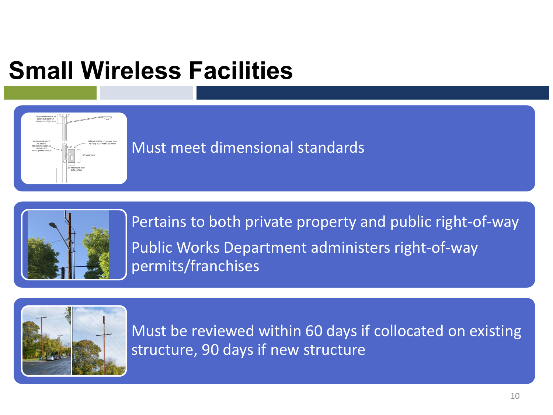## **Small Wireless Facilities**



Must meet dimensional standards



Pertains to both private property and public right-of-way Public Works Department administers right-of-way permits/franchises



Must be reviewed within 60 days if collocated on existing structure, 90 days if new structure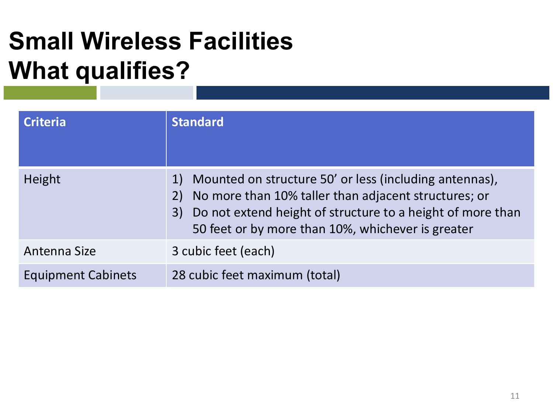## **Small Wireless Facilities What qualifies?**

| <b>Criteria</b>           | <b>Standard</b>                                                                                                                                                                                                                         |
|---------------------------|-----------------------------------------------------------------------------------------------------------------------------------------------------------------------------------------------------------------------------------------|
| Height                    | Mounted on structure 50' or less (including antennas),<br>No more than 10% taller than adjacent structures; or<br>Do not extend height of structure to a height of more than<br>3)<br>50 feet or by more than 10%, whichever is greater |
| Antenna Size              | 3 cubic feet (each)                                                                                                                                                                                                                     |
| <b>Equipment Cabinets</b> | 28 cubic feet maximum (total)                                                                                                                                                                                                           |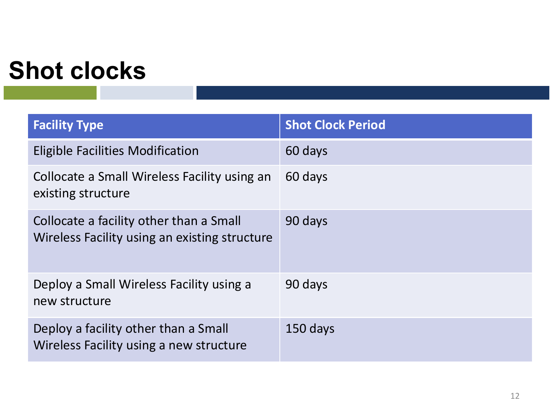### **Shot clocks**

| <b>Facility Type</b>                                                                     | <b>Shot Clock Period</b> |
|------------------------------------------------------------------------------------------|--------------------------|
| <b>Eligible Facilities Modification</b>                                                  | 60 days                  |
| Collocate a Small Wireless Facility using an<br>existing structure                       | 60 days                  |
| Collocate a facility other than a Small<br>Wireless Facility using an existing structure | 90 days                  |
| Deploy a Small Wireless Facility using a<br>new structure                                | 90 days                  |
| Deploy a facility other than a Small<br>Wireless Facility using a new structure          | 150 days                 |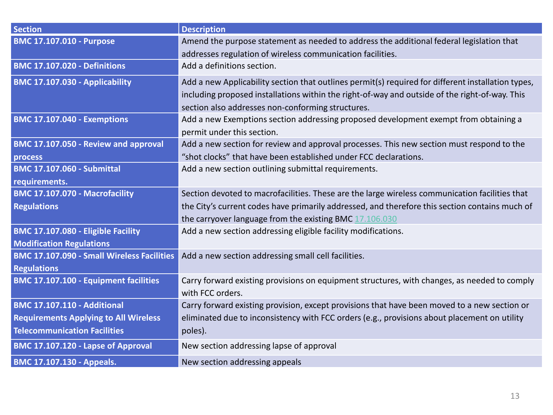| <b>Section</b>                                    | <b>Description</b>                                                                                 |
|---------------------------------------------------|----------------------------------------------------------------------------------------------------|
| <b>BMC 17.107.010 - Purpose</b>                   | Amend the purpose statement as needed to address the additional federal legislation that           |
|                                                   | addresses regulation of wireless communication facilities.                                         |
| <b>BMC 17.107.020 - Definitions</b>               | Add a definitions section.                                                                         |
| BMC 17.107.030 - Applicability                    | Add a new Applicability section that outlines permit(s) required for different installation types, |
|                                                   | including proposed installations within the right-of-way and outside of the right-of-way. This     |
|                                                   | section also addresses non-conforming structures.                                                  |
| <b>BMC 17.107.040 - Exemptions</b>                | Add a new Exemptions section addressing proposed development exempt from obtaining a               |
|                                                   | permit under this section.                                                                         |
| BMC 17.107.050 - Review and approval              | Add a new section for review and approval processes. This new section must respond to the          |
| process                                           | "shot clocks" that have been established under FCC declarations.                                   |
| <b>BMC 17.107.060 - Submittal</b>                 | Add a new section outlining submittal requirements.                                                |
| requirements.                                     |                                                                                                    |
| BMC 17.107.070 - Macrofacility                    | Section devoted to macrofacilities. These are the large wireless communication facilities that     |
| <b>Regulations</b>                                | the City's current codes have primarily addressed, and therefore this section contains much of     |
|                                                   | the carryover language from the existing BMC 17.106.030                                            |
| BMC 17.107.080 - Eligible Facility                | Add a new section addressing eligible facility modifications.                                      |
| <b>Modification Regulations</b>                   |                                                                                                    |
| <b>BMC 17.107.090 - Small Wireless Facilities</b> | Add a new section addressing small cell facilities.                                                |
| <b>Regulations</b>                                |                                                                                                    |
| BMC 17.107.100 - Equipment facilities             | Carry forward existing provisions on equipment structures, with changes, as needed to comply       |
|                                                   | with FCC orders.                                                                                   |
| <b>BMC 17.107.110 - Additional</b>                | Carry forward existing provision, except provisions that have been moved to a new section or       |
| <b>Requirements Applying to All Wireless</b>      | eliminated due to inconsistency with FCC orders (e.g., provisions about placement on utility       |
| <b>Telecommunication Facilities</b>               | poles).                                                                                            |
| BMC 17.107.120 - Lapse of Approval                | New section addressing lapse of approval                                                           |
| <b>BMC 17.107.130 - Appeals.</b>                  | New section addressing appeals                                                                     |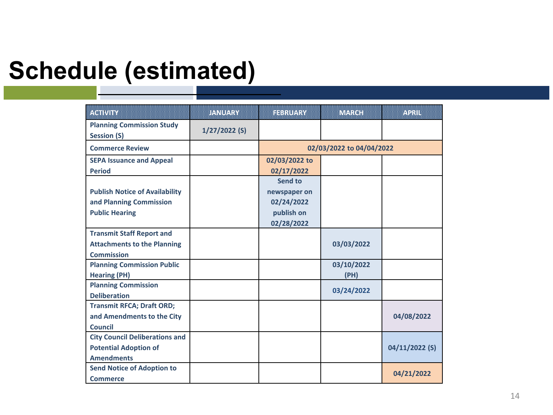### **Schedule (estimated)**

| <b>Kanvin</b>                         | JANUARY         | <b>FEBRUARY</b>          | <b>MARCH</b> | ACRUI          |
|---------------------------------------|-----------------|--------------------------|--------------|----------------|
| <b>Planning Commission Study</b>      | $1/27/2022$ (S) |                          |              |                |
| <b>Session (S)</b>                    |                 |                          |              |                |
| <b>Commerce Review</b>                |                 | 02/03/2022 to 04/04/2022 |              |                |
| <b>SEPA Issuance and Appeal</b>       |                 | 02/03/2022 to            |              |                |
| <b>Period</b>                         |                 | 02/17/2022               |              |                |
|                                       |                 | Send to                  |              |                |
| <b>Publish Notice of Availability</b> |                 | newspaper on             |              |                |
| and Planning Commission               |                 | 02/24/2022               |              |                |
| <b>Public Hearing</b>                 |                 | publish on               |              |                |
|                                       |                 | 02/28/2022               |              |                |
| <b>Transmit Staff Report and</b>      |                 |                          |              |                |
| <b>Attachments to the Planning</b>    |                 |                          | 03/03/2022   |                |
| <b>Commission</b>                     |                 |                          |              |                |
| <b>Planning Commission Public</b>     |                 |                          | 03/10/2022   |                |
| <b>Hearing (PH)</b>                   |                 |                          | (PH)         |                |
| <b>Planning Commission</b>            |                 |                          | 03/24/2022   |                |
| <b>Deliberation</b>                   |                 |                          |              |                |
| <b>Transmit RFCA; Draft ORD;</b>      |                 |                          |              |                |
| and Amendments to the City            |                 |                          |              | 04/08/2022     |
| <b>Council</b>                        |                 |                          |              |                |
| <b>City Council Deliberations and</b> |                 |                          |              |                |
| <b>Potential Adoption of</b>          |                 |                          |              | 04/11/2022 (S) |
| <b>Amendments</b>                     |                 |                          |              |                |
| <b>Send Notice of Adoption to</b>     |                 |                          |              | 04/21/2022     |
| <b>Commerce</b>                       |                 |                          |              |                |